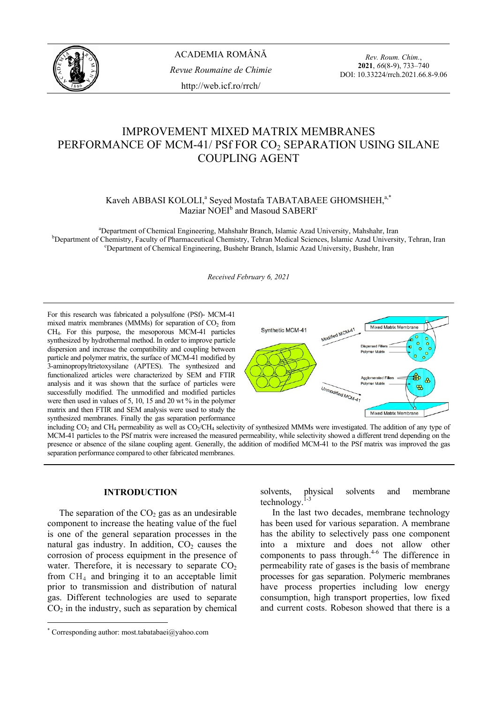

*Rev. Roum. Chim.*, **2021**, *66*(8-9), 733–740 DOI: 10.33224/rrch.2021.66.8-9.06

# IMPROVEMENT MIXED MATRIX MEMBRANES PERFORMANCE OF MCM-41/ PSf FOR CO<sub>2</sub> SEPARATION USING SILANE COUPLING AGENT

# Kaveh ABBASI KOLOLI,<sup>a</sup> Seyed Mostafa TABATABAEE GHOMSHEH,<sup>a,\*</sup> Maziar NOEI<sup>b</sup> and Masoud SABERI<sup>c</sup>

<sup>a</sup> Department of Chemical Engineering, Mahshahr Branch, Islamic Azad University, Mahshahr, Iran b<br>b Department of Chemistry, Feaulty of Pharmaceutical Chemistry, Tahran Madisel Seignese, Jalamie Azad University <sup>b</sup>Department of Chemistry, Faculty of Pharmaceutical Chemistry, Tehran Medical Sciences, Islamic Azad University, Tehran, Iran <sup>c</sup>Department of Chemical Engineering, Bushehr Branch, Islamic Azad University, Bushehr, Iran

*Received February 6, 2021* 

For this research was fabricated a polysulfone (PSf)- MCM-41 mixed matrix membranes (MMMs) for separation of  $CO<sub>2</sub>$  from CH4. For this purpose, the mesoporous MCM-41 particles synthesized by hydrothermal method. In order to improve particle dispersion and increase the compatibility and coupling between particle and polymer matrix, the surface of MCM-41 modified by 3-aminopropyltrietoxysilane (APTES). The synthesized and functionalized articles were characterized by SEM and FTIR analysis and it was shown that the surface of particles were successfully modified. The unmodified and modified particles were then used in values of 5, 10, 15 and 20 wt % in the polymer matrix and then FTIR and SEM analysis were used to study the synthesized membranes. Finally the gas separation performance



including CO<sub>2</sub> and CH<sub>4</sub> permeability as well as CO<sub>2</sub>/CH<sub>4</sub> selectivity of synthesized MMMs were investigated. The addition of any type of MCM-41 particles to the PSf matrix were increased the measured permeability, while selectivity showed a different trend depending on the presence or absence of the silane coupling agent. Generally, the addition of modified MCM-41 to the PSf matrix was improved the gas separation performance compared to other fabricated membranes.

# **INTRODUCTION**<sup>∗</sup>

The separation of the  $CO<sub>2</sub>$  gas as an undesirable component to increase the heating value of the fuel is one of the general separation processes in the natural gas industry. In addition,  $CO<sub>2</sub>$  causes the corrosion of process equipment in the presence of water. Therefore, it is necessary to separate  $CO<sub>2</sub>$ from  $CH<sub>4</sub>$  and bringing it to an acceptable limit prior to transmission and distribution of natural gas. Different technologies are used to separate  $CO<sub>2</sub>$  in the industry, such as separation by chemical

solvents, physical solvents and membrane technology.<sup>1-3</sup>

 In the last two decades, membrane technology has been used for various separation. A membrane has the ability to selectively pass one component into a mixture and does not allow other components to pass through.<sup>4-6</sup> The difference in permeability rate of gases is the basis of membrane processes for gas separation. Polymeric membranes have process properties including low energy consumption, high transport properties, low fixed and current costs. Robeson showed that there is a

<sup>∗</sup> Corresponding author: most.tabatabaei@yahoo.com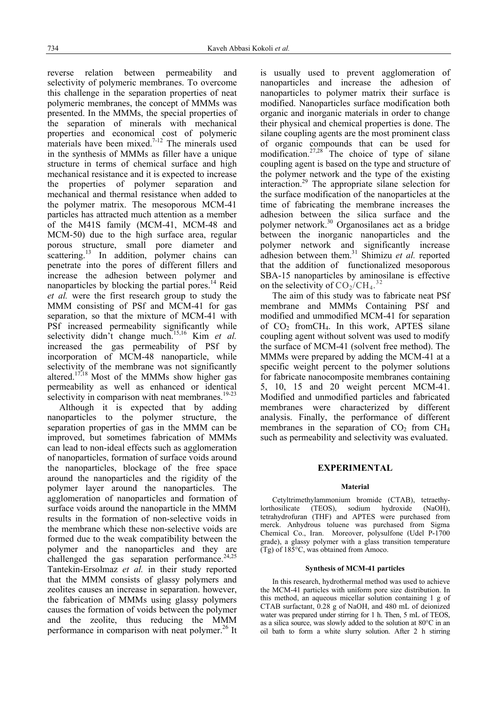reverse relation between permeability and selectivity of polymeric membranes. To overcome this challenge in the separation properties of neat polymeric membranes, the concept of MMMs was presented. In the MMMs, the special properties of the separation of minerals with mechanical properties and economical cost of polymeric materials have been mixed.<sup>7-12</sup> The minerals used in the synthesis of MMMs as filler have a unique structure in terms of chemical surface and high mechanical resistance and it is expected to increase the properties of polymer separation and mechanical and thermal resistance when added to the polymer matrix. The mesoporous MCM-41 particles has attracted much attention as a member of the M41S family (MCM-41, MCM-48 and MCM-50) due to the high surface area, regular porous structure, small pore diameter and scattering.<sup>13</sup> In addition, polymer chains can penetrate into the pores of different fillers and increase the adhesion between polymer and nanoparticles by blocking the partial pores.<sup>14</sup> Reid *et al.* were the first research group to study the MMM consisting of PSf and MCM-41 for gas separation, so that the mixture of MCM-41 with PSf increased permeability significantly while selectivity didn't change much.<sup>15,16</sup> Kim *et al.* increased the gas permeability of PSf by incorporation of MCM-48 nanoparticle, while selectivity of the membrane was not significantly altered.<sup>17,18</sup> Most of the MMMs show higher gas permeability as well as enhanced or identical selectivity in comparison with neat membranes. $19-23$ 

 Although it is expected that by adding nanoparticles to the polymer structure, the separation properties of gas in the MMM can be improved, but sometimes fabrication of MMMs can lead to non-ideal effects such as agglomeration of nanoparticles, formation of surface voids around the nanoparticles, blockage of the free space around the nanoparticles and the rigidity of the polymer layer around the nanoparticles. The agglomeration of nanoparticles and formation of surface voids around the nanoparticle in the MMM results in the formation of non-selective voids in the membrane which these non-selective voids are formed due to the weak compatibility between the polymer and the nanoparticles and they are challenged the gas separation performance. $24,25$ Tantekin-Ersolmaz *et al.* in their study reported that the MMM consists of glassy polymers and zeolites causes an increase in separation. however, the fabrication of MMMs using glassy polymers causes the formation of voids between the polymer and the zeolite, thus reducing the MMM performance in comparison with neat polymer.<sup>26</sup> It

is usually used to prevent agglomeration of nanoparticles and increase the adhesion of nanoparticles to polymer matrix their surface is modified. Nanoparticles surface modification both organic and inorganic materials in order to change their physical and chemical properties is done. The silane coupling agents are the most prominent class of organic compounds that can be used for modification.<sup>27,28</sup> The choice of type of silane coupling agent is based on the type and structure of the polymer network and the type of the existing interaction.29 The appropriate silane selection for the surface modification of the nanoparticles at the time of fabricating the membrane increases the adhesion between the silica surface and the polymer network.30 Organosilanes act as a bridge between the inorganic nanoparticles and the polymer network and significantly increase adhesion between them.<sup>31</sup> Shimizu *et al.* reported that the addition of functionalized mesoporous SBA-15 nanoparticles by aminosilane is effective on the selectivity of  $CO_2/CH_4$ .<sup>32</sup>

 The aim of this study was to fabricate neat PSf membrane and MMMs Containing PSf and modified and ummodified MCM-41 for separation of  $CO<sub>2</sub>$  from CH<sub>4</sub>. In this work, APTES silane coupling agent without solvent was used to modify the surface of MCM-41 (solvent free method). The MMMs were prepared by adding the MCM-41 at a specific weight percent to the polymer solutions for fabricate nanocomposite membranes containing 5, 10, 15 and 20 weight percent MCM-41. Modified and unmodified particles and fabricated membranes were characterized by different analysis. Finally, the performance of different membranes in the separation of  $CO<sub>2</sub>$  from  $CH<sub>4</sub>$ such as permeability and selectivity was evaluated.

## **EXPERIMENTAL**

#### **Material**

 Cetyltrimethylammonium bromide (CTAB), tetraethy-(TEOS), sodium hydroxide (NaOH), tetrahydrofuran (THF) and APTES were purchased from merck. Anhydrous toluene was purchased from Sigma Chemical Co., Iran. Moreover, polysulfone (Udel P-1700 grade), a glassy polymer with a glass transition temperature (Tg) of 185°C, was obtained from Amoco.

#### **Synthesis of MCM-41 particles**

 In this research, hydrothermal method was used to achieve the MCM-41 particles with uniform pore size distribution. In this method, an aqueous micellar solution containing 1 g of CTAB surfactant, 0.28 g of NaOH, and 480 mL of deionized water was prepared under stirring for 1 h. Then, 5 mL of TEOS, as a silica source, was slowly added to the solution at 80°C in an oil bath to form a white slurry solution. After 2 h stirring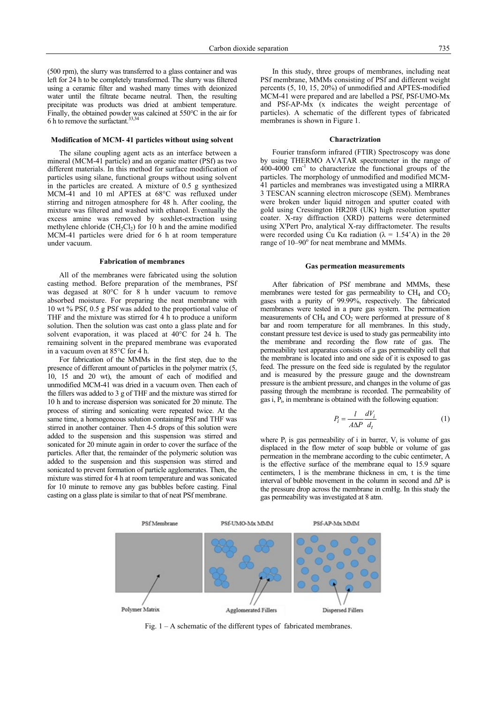(500 rpm), the slurry was transferred to a glass container and was left for 24 h to be completely transformed. The slurry was filtered using a ceramic filter and washed many times with deionized water until the filtrate became neutral. Then, the resulting precipitate was products was dried at ambient temperature. Finally, the obtained powder was calcined at 550°C in the air for 6 h to remove the surfactant.  $33,34$ 

#### **Modification of MCM- 41 particles without using solvent**

 The silane coupling agent acts as an interface between a mineral (MCM-41 particle) and an organic matter (PSf) as two different materials. In this method for surface modification of particles using silane, functional groups without using solvent in the particles are created. A mixture of 0.5 g synthesized MCM-41 and 10 ml APTES at 68°C was refluxed under stirring and nitrogen atmosphere for 48 h. After cooling, the mixture was filtered and washed with ethanol. Eventually the excess amine was removed by soxhlet-extraction using methylene chloride  $(CH_2Cl_2)$  for 10 h and the amine modified MCM-41 particles were dried for 6 h at room temperature under vacuum.

#### **Fabrication of membranes**

 All of the membranes were fabricated using the solution casting method. Before preparation of the membranes, PSf was degased at 80°C for 8 h under vacuum to remove absorbed moisture. For preparing the neat membrane with 10 wt % PSf, 0.5 g PSf was added to the proportional value of THF and the mixture was stirred for 4 h to produce a uniform solution. Then the solution was cast onto a glass plate and for solvent evaporation, it was placed at 40°C for 24 h. The remaining solvent in the prepared membrane was evaporated in a vacuum oven at 85°C for 4 h.

 For fabrication of the MMMs in the first step, due to the presence of different amount of particles in the polymer matrix (5, 10, 15 and 20 wt), the amount of each of modified and unmodified MCM-41 was dried in a vacuum oven. Then each of the fillers was added to 3 g of THF and the mixture was stirred for 10 h and to increase dispersion was sonicated for 20 minute. The process of stirring and sonicating were repeated twice. At the same time, a homogeneous solution containing PSf and THF was stirred in another container. Then 4-5 drops of this solution were added to the suspension and this suspension was stirred and sonicated for 20 minute again in order to cover the surface of the particles. After that, the remainder of the polymeric solution was added to the suspension and this suspension was stirred and sonicated to prevent formation of particle agglomerates. Then, the mixture was stirred for 4 h at room temperature and was sonicated for 10 minute to remove any gas bubbles before casting. Final casting on a glass plate is similar to that of neat PSf membrane.

 In this study, three groups of membranes, including neat PSf membrane, MMMs consisting of PSf and different weight percents (5, 10, 15, 20%) of unmodified and APTES-modified MCM-41 were prepared and are labelled a PSf, PSf-UMO-Mx and PSf-AP-Mx (x indicates the weight percentage of particles). A schematic of the different types of fabricated membranes is shown in Figure 1.

#### **Charactrization**

 Fourier transform infrared (FTIR) Spectroscopy was done by using THERMO AVATAR spectrometer in the range of  $400-4000$  cm<sup>-1</sup> to characterize the functional groups of the particles. The morphology of unmodified and modified MCM-41 particles and membranes was investigated using a MIRRA 3 TESCAN scanning electron microscope (SEM). Membranes were broken under liquid nitrogen and sputter coated with gold using Cressington HR208 (UK) high resolution sputter coater. X-ray diffraction (XRD) patterns were determined using X'Pert Pro, analytical X-ray diffractometer. The results were recorded using Cu K $\alpha$  radiation ( $\lambda = 1.54^{\circ}$ A) in the 2 $\theta$ range of 10-90° for neat membrane and MMMs.

#### **Gas permeation measurements**

 After fabrication of PSf membrane and MMMs, these membranes were tested for gas permeability to  $CH_4$  and  $CO_2$ gases with a purity of 99.99%, respectively. The fabricated membranes were tested in a pure gas system. The permeation measurements of  $CH_4$  and  $CO<sub>2</sub>$  were performed at pressure of 8 bar and room temperature for all membranes. In this study, constant pressure test device is used to study gas permeability into the membrane and recording the flow rate of gas. The permeability test apparatus consists of a gas permeability cell that the membrane is located into and one side of it is exposed to gas feed. The pressure on the feed side is regulated by the regulator and is measured by the pressure gauge and the downstream pressure is the ambient pressure, and changes in the volume of gas passing through the membrane is recorded. The permeability of gas i, P<sub>i</sub>, in membrane is obtained with the following equation:

$$
P_i = \frac{l}{A\Delta P} \frac{dV_i}{d_t} \tag{1}
$$

where  $P_i$  is gas permeability of i in barrer,  $V_i$  is volume of gas displaced in the flow meter of soap bubble or volume of gas permeation in the membrane according to the cubic centimeter, A is the effective surface of the membrane equal to 15.9 square centimeters, l is the membrane thickness in cm, t is the time interval of bubble movement in the column in second and  $\Delta P$  is the pressure drop across the membrane in cmHg. In this study the gas permeability was investigated at 8 atm.



Fig. 1 – A schematic of the different types of fabricated membranes.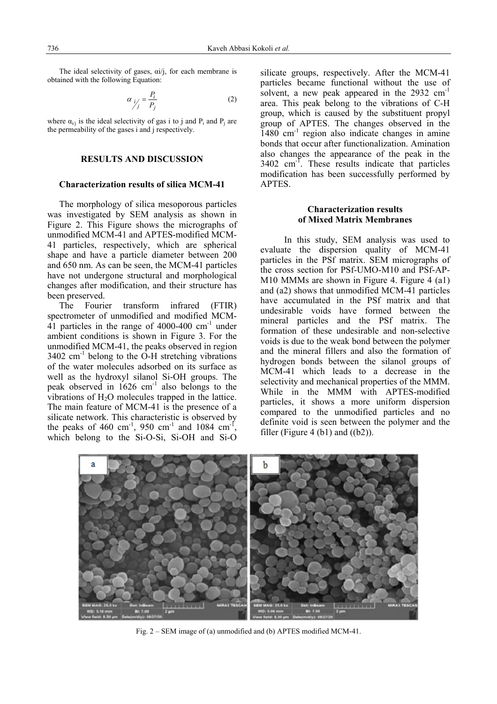The ideal selectivity of gases,  $\alpha i / j$ , for each membrane is obtained with the following Equation:

$$
\alpha_{j'_j} = \frac{P_i}{P_j} \tag{2}
$$

where  $\alpha_{i}$  is the ideal selectivity of gas i to j and P<sub>i</sub> and P<sub>i</sub> are the permeability of the gases i and j respectively.

## **RESULTS AND DISCUSSION**

## **Characterization results of silica MCM-41**

 The morphology of silica mesoporous particles was investigated by SEM analysis as shown in Figure 2. This Figure shows the micrographs of unmodified MCM-41 and APTES-modified MCM-41 particles, respectively, which are spherical shape and have a particle diameter between 200 and 650 nm. As can be seen, the MCM-41 particles have not undergone structural and morphological changes after modification, and their structure has been preserved.

The Fourier transform infrared (FTIR) spectrometer of unmodified and modified MCM-41 particles in the range of 4000-400  $\text{cm}^{-1}$  under ambient conditions is shown in Figure 3. For the unmodified MCM-41, the peaks observed in region  $3402 \text{ cm}^{-1}$  belong to the O-H stretching vibrations of the water molecules adsorbed on its surface as well as the hydroxyl silanol Si-OH groups. The peak observed in  $1626 \text{ cm}^{-1}$  also belongs to the vibrations of  $H_2O$  molecules trapped in the lattice. The main feature of MCM-41 is the presence of a silicate network. This characteristic is observed by the peaks of 460 cm<sup>-1</sup>, 950 cm<sup>-1</sup> and 1084 cm<sup>-1</sup>, which belong to the Si-O-Si, Si-OH and Si-O silicate groups, respectively. After the MCM-41 particles became functional without the use of solvent, a new peak appeared in the 2932 cm<sup>-1</sup> area. This peak belong to the vibrations of C-H group, which is caused by the substituent propyl group of APTES. The changes observed in the 1480 cm-1 region also indicate changes in amine bonds that occur after functionalization. Amination also changes the appearance of the peak in the 3402 cm<sup>-T</sup>. These results indicate that particles modification has been successfully performed by APTES.

# **Characterization results of Mixed Matrix Membranes**

 In this study, SEM analysis was used to evaluate the dispersion quality of MCM-41 particles in the PSf matrix. SEM micrographs of the cross section for PSf-UMO-M10 and PSf-AP-M10 MMMs are shown in Figure 4. Figure 4 (a1) and (a2) shows that unmodified MCM-41 particles have accumulated in the PSf matrix and that undesirable voids have formed between the mineral particles and the PSf matrix. The formation of these undesirable and non-selective voids is due to the weak bond between the polymer and the mineral fillers and also the formation of hydrogen bonds between the silanol groups of MCM-41 which leads to a decrease in the selectivity and mechanical properties of the MMM. While in the MMM with APTES-modified particles, it shows a more uniform dispersion compared to the unmodified particles and no definite void is seen between the polymer and the filler (Figure 4 (b1) and  $((b2))$ .



Fig. 2 – SEM image of (a) unmodified and (b) APTES modified MCM-41.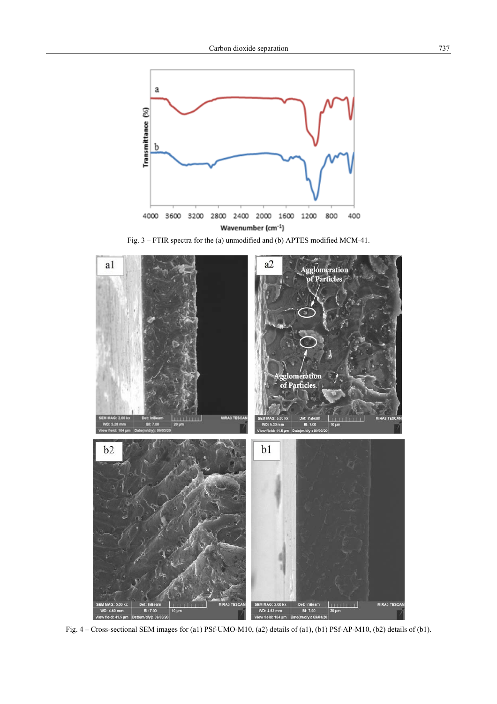

Fig. 3 – FTIR spectra for the (a) unmodified and (b) APTES modified MCM-41.



Fig. 4 – Cross-sectional SEM images for (a1) PSf-UMO-M10, (a2) details of (a1), (b1) PSf-AP-M10, (b2) details of (b1).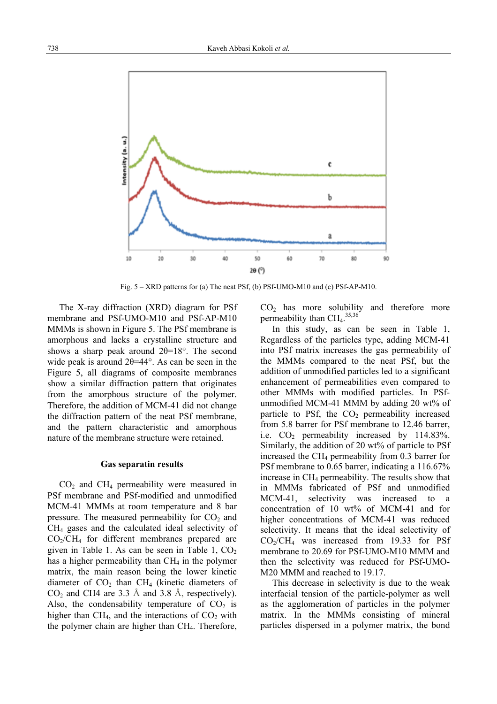

Fig. 5 – XRD patterns for (a) The neat PSf, (b) PSf-UMO-M10 and (c) PSf-AP-M10.

The X-ray diffraction (XRD) diagram for PSf membrane and PSf-UMO-M10 and PSf-AP-M10 MMMs is shown in Figure 5. The PSf membrane is amorphous and lacks a crystalline structure and shows a sharp peak around  $2\theta=18^\circ$ . The second wide peak is around 2θ=44°. As can be seen in the Figure 5, all diagrams of composite membranes show a similar diffraction pattern that originates from the amorphous structure of the polymer. Therefore, the addition of MCM-41 did not change the diffraction pattern of the neat PSf membrane, and the pattern characteristic and amorphous nature of the membrane structure were retained.

#### **Gas separatin results**

 $CO<sub>2</sub>$  and  $CH<sub>4</sub>$  permeability were measured in PSf membrane and PSf-modified and unmodified MCM-41 MMMs at room temperature and 8 bar pressure. The measured permeability for  $CO<sub>2</sub>$  and CH4 gases and the calculated ideal selectivity of  $CO<sub>2</sub>/CH<sub>4</sub>$  for different membranes prepared are given in Table 1. As can be seen in Table 1,  $CO<sub>2</sub>$ has a higher permeability than  $CH<sub>4</sub>$  in the polymer matrix, the main reason being the lower kinetic diameter of  $CO<sub>2</sub>$  than  $CH<sub>4</sub>$  (kinetic diameters of  $CO<sub>2</sub>$  and CH4 are 3.3 Å and 3.8 Å, respectively). Also, the condensability temperature of  $CO<sub>2</sub>$  is higher than  $CH<sub>4</sub>$ , and the interactions of  $CO<sub>2</sub>$  with the polymer chain are higher than CH<sub>4</sub>. Therefore,

 $CO<sub>2</sub>$  has more solubility and therefore more permeability than  $\text{CH}_4$ .<sup>35,36</sup>

 In this study, as can be seen in Table 1, Regardless of the particles type, adding MCM-41 into PSf matrix increases the gas permeability of the MMMs compared to the neat PSf, but the addition of unmodified particles led to a significant enhancement of permeabilities even compared to other MMMs with modified particles. In PSfunmodified MCM-41 MMM by adding 20 wt% of particle to PSf, the  $CO<sub>2</sub>$  permeability increased from 5.8 barrer for PSf membrane to 12.46 barrer, i.e.  $CO<sub>2</sub>$  permeability increased by 114.83%. Similarly, the addition of 20 wt% of particle to PSf increased the  $CH_4$  permeability from 0.3 barrer for PSf membrane to 0.65 barrer, indicating a 116.67% increase in CH4 permeability. The results show that in MMMs fabricated of PSf and unmodified MCM-41, selectivity was increased to a concentration of 10 wt% of MCM-41 and for higher concentrations of MCM-41 was reduced selectivity. It means that the ideal selectivity of  $CO_2/CH_4$  was increased from 19.33 for PSf membrane to 20.69 for PSf-UMO-M10 MMM and then the selectivity was reduced for PSf-UMO-M20 MMM and reached to 19.17.

 This decrease in selectivity is due to the weak interfacial tension of the particle-polymer as well as the agglomeration of particles in the polymer matrix. In the MMMs consisting of mineral particles dispersed in a polymer matrix, the bond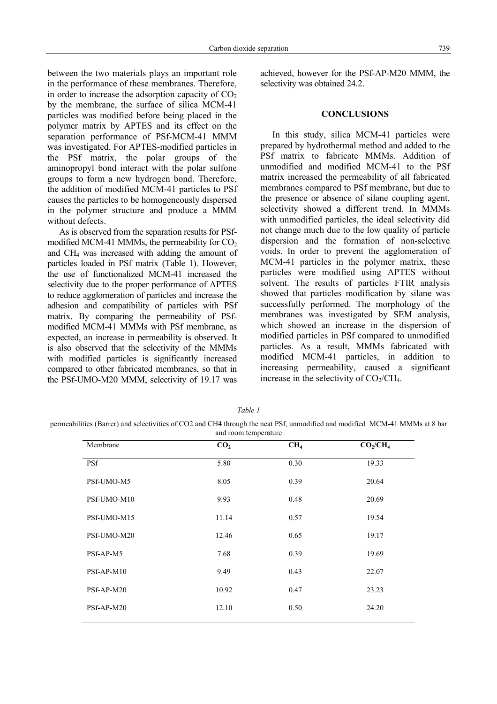between the two materials plays an important role in the performance of these membranes. Therefore, in order to increase the adsorption capacity of  $CO<sub>2</sub>$ by the membrane, the surface of silica MCM-41 particles was modified before being placed in the polymer matrix by APTES and its effect on the separation performance of PSf-MCM-41 MMM was investigated. For APTES-modified particles in the PSf matrix, the polar groups of the aminopropyl bond interact with the polar sulfone groups to form a new hydrogen bond. Therefore, the addition of modified MCM-41 particles to PSf causes the particles to be homogeneously dispersed in the polymer structure and produce a MMM without defects.

 As is observed from the separation results for PSfmodified MCM-41 MMMs, the permeability for  $CO<sub>2</sub>$ and CH4 was increased with adding the amount of particles loaded in PSf matrix (Table 1). However, the use of functionalized MCM-41 increased the selectivity due to the proper performance of APTES to reduce agglomeration of particles and increase the adhesion and compatibility of particles with PSf matrix. By comparing the permeability of PSfmodified MCM-41 MMMs with PSf membrane, as expected, an increase in permeability is observed. It is also observed that the selectivity of the MMMs with modified particles is significantly increased compared to other fabricated membranes, so that in the PSf-UMO-M20 MMM, selectivity of 19.17 was achieved, however for the PSf-AP-M20 MMM, the selectivity was obtained 24.2.

#### **CONCLUSIONS**

 In this study, silica MCM-41 particles were prepared by hydrothermal method and added to the PSf matrix to fabricate MMMs. Addition of unmodified and modified MCM-41 to the PSf matrix increased the permeability of all fabricated membranes compared to PSf membrane, but due to the presence or absence of silane coupling agent, selectivity showed a different trend. In MMMs with unmodified particles, the ideal selectivity did not change much due to the low quality of particle dispersion and the formation of non-selective voids. In order to prevent the agglomeration of MCM-41 particles in the polymer matrix, these particles were modified using APTES without solvent. The results of particles FTIR analysis showed that particles modification by silane was successfully performed. The morphology of the membranes was investigated by SEM analysis, which showed an increase in the dispersion of modified particles in PSf compared to unmodified particles. As a result, MMMs fabricated with modified MCM-41 particles, in addition to increasing permeability, caused a significant increase in the selectivity of  $CO<sub>2</sub>/CH<sub>4</sub>$ .

| ant<br>ï |
|----------|
|----------|

permeabilities (Barrer) and selectivities of CO2 and CH4 through the neat PSf, unmodified and modified MCM-41 MMMs at 8 bar and room temperature

| Membrane    | CO <sub>2</sub> | CH <sub>4</sub> | CO <sub>2</sub> /CH <sub>4</sub> |
|-------------|-----------------|-----------------|----------------------------------|
| <b>PSf</b>  | 5.80            | 0.30            | 19.33                            |
| PSf-UMO-M5  | 8.05            | 0.39            | 20.64                            |
| PSf-UMO-M10 | 9.93            | 0.48            | 20.69                            |
| PSf-UMO-M15 | 11.14           | 0.57            | 19.54                            |
| PSf-UMO-M20 | 12.46           | 0.65            | 19.17                            |
| PSf-AP-M5   | 7.68            | 0.39            | 19.69                            |
| PSf-AP-M10  | 9.49            | 0.43            | 22.07                            |
| PSf-AP-M20  | 10.92           | 0.47            | 23.23                            |
| PSf-AP-M20  | 12.10           | 0.50            | 24.20                            |